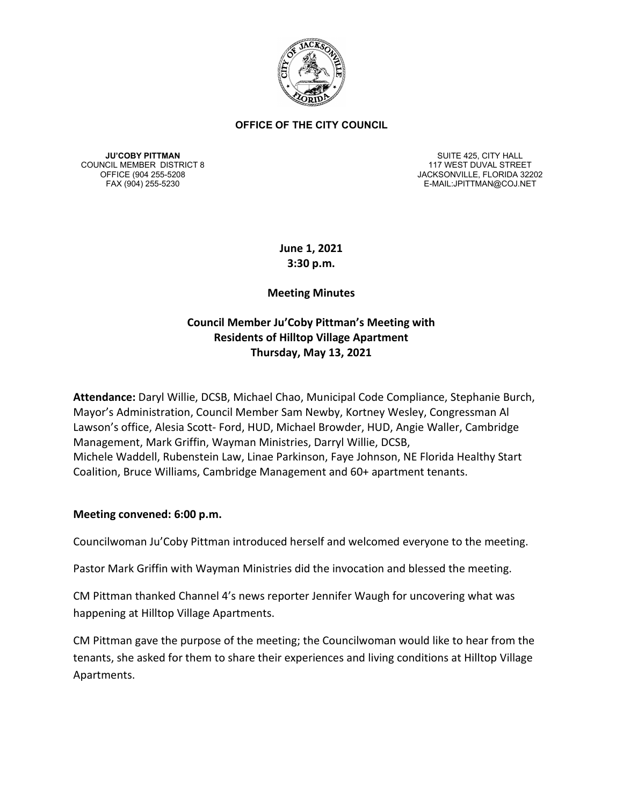

**JU'COBY PITTMAN** COUNCIL MEMBER DISTRICT 8

SUITE 425, CITY HALL 117 WEST DUVAL STREET OFFICE (904 255-5208 JACKSONVILLE, FLORIDA 32202 E-MAIL:JPITTMAN@COJ.NET

> **June 1, 2021 3:30 p.m.**

## **Meeting Minutes**

# **Council Member Ju'Coby Pittman's Meeting with Residents of Hilltop Village Apartment Thursday, May 13, 2021**

**Attendance:** Daryl Willie, DCSB, Michael Chao, Municipal Code Compliance, Stephanie Burch, Mayor's Administration, Council Member Sam Newby, Kortney Wesley, Congressman Al Lawson's office, Alesia Scott- Ford, HUD, Michael Browder, HUD, Angie Waller, Cambridge Management, Mark Griffin, Wayman Ministries, Darryl Willie, DCSB, Michele Waddell, Rubenstein Law, Linae Parkinson, Faye Johnson, NE Florida Healthy Start Coalition, Bruce Williams, Cambridge Management and 60+ apartment tenants.

#### **Meeting convened: 6:00 p.m.**

Councilwoman Ju'Coby Pittman introduced herself and welcomed everyone to the meeting.

Pastor Mark Griffin with Wayman Ministries did the invocation and blessed the meeting.

CM Pittman thanked Channel 4's news reporter Jennifer Waugh for uncovering what was happening at Hilltop Village Apartments.

CM Pittman gave the purpose of the meeting; the Councilwoman would like to hear from the tenants, she asked for them to share their experiences and living conditions at Hilltop Village Apartments.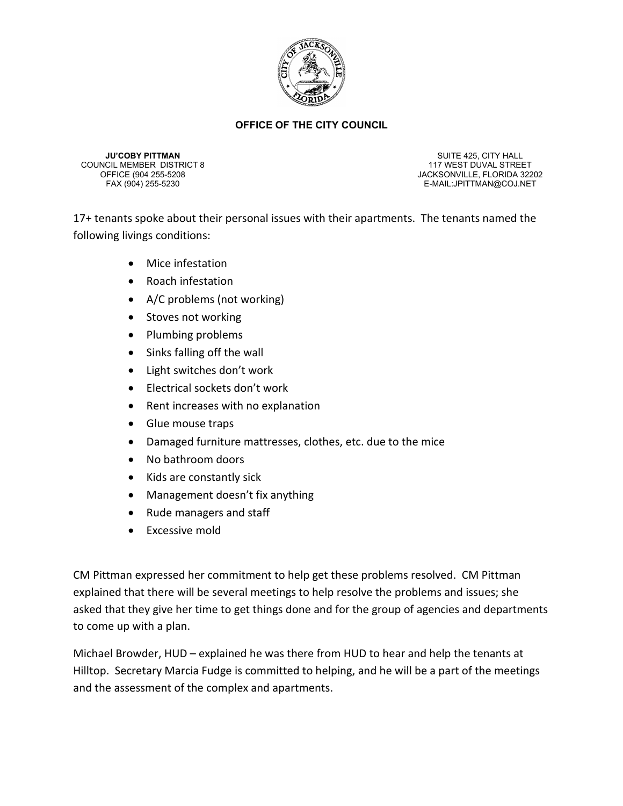

**JU'COBY PITTMAN** COUNCIL MEMBER DISTRICT 8

SUITE 425, CITY HALL 117 WEST DUVAL STREET OFFICE (904 255-5208 JACKSONVILLE, FLORIDA 32202 E-MAIL:JPITTMAN@COJ.NET

17+ tenants spoke about their personal issues with their apartments. The tenants named the following livings conditions:

- Mice infestation
- Roach infestation
- A/C problems (not working)
- Stoves not working
- Plumbing problems
- Sinks falling off the wall
- Light switches don't work
- Electrical sockets don't work
- Rent increases with no explanation
- Glue mouse traps
- Damaged furniture mattresses, clothes, etc. due to the mice
- No bathroom doors
- Kids are constantly sick
- Management doesn't fix anything
- Rude managers and staff
- Excessive mold

CM Pittman expressed her commitment to help get these problems resolved. CM Pittman explained that there will be several meetings to help resolve the problems and issues; she asked that they give her time to get things done and for the group of agencies and departments to come up with a plan.

Michael Browder, HUD – explained he was there from HUD to hear and help the tenants at Hilltop. Secretary Marcia Fudge is committed to helping, and he will be a part of the meetings and the assessment of the complex and apartments.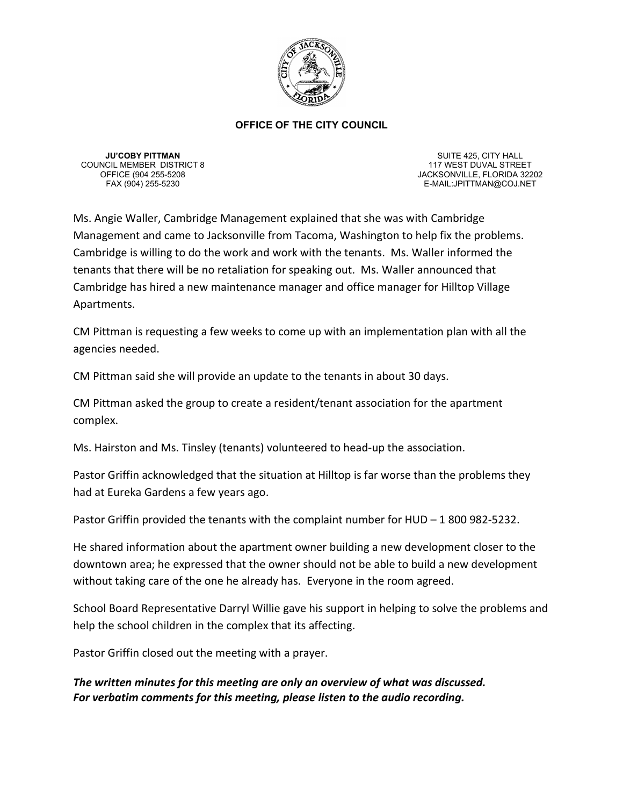

**JU'COBY PITTMAN** COUNCIL MEMBER DISTRICT 8

SUITE 425, CITY HALL 117 WEST DUVAL STREET OFFICE (904 255-5208 JACKSONVILLE, FLORIDA 32202 E-MAIL:JPITTMAN@COJ.NET

Ms. Angie Waller, Cambridge Management explained that she was with Cambridge Management and came to Jacksonville from Tacoma, Washington to help fix the problems. Cambridge is willing to do the work and work with the tenants. Ms. Waller informed the tenants that there will be no retaliation for speaking out. Ms. Waller announced that Cambridge has hired a new maintenance manager and office manager for Hilltop Village Apartments.

CM Pittman is requesting a few weeks to come up with an implementation plan with all the agencies needed.

CM Pittman said she will provide an update to the tenants in about 30 days.

CM Pittman asked the group to create a resident/tenant association for the apartment complex.

Ms. Hairston and Ms. Tinsley (tenants) volunteered to head-up the association.

Pastor Griffin acknowledged that the situation at Hilltop is far worse than the problems they had at Eureka Gardens a few years ago.

Pastor Griffin provided the tenants with the complaint number for HUD – 1 800 982-5232.

He shared information about the apartment owner building a new development closer to the downtown area; he expressed that the owner should not be able to build a new development without taking care of the one he already has. Everyone in the room agreed.

School Board Representative Darryl Willie gave his support in helping to solve the problems and help the school children in the complex that its affecting.

Pastor Griffin closed out the meeting with a prayer.

*The written minutes for this meeting are only an overview of what was discussed. For verbatim comments for this meeting, please listen to the audio recording.*